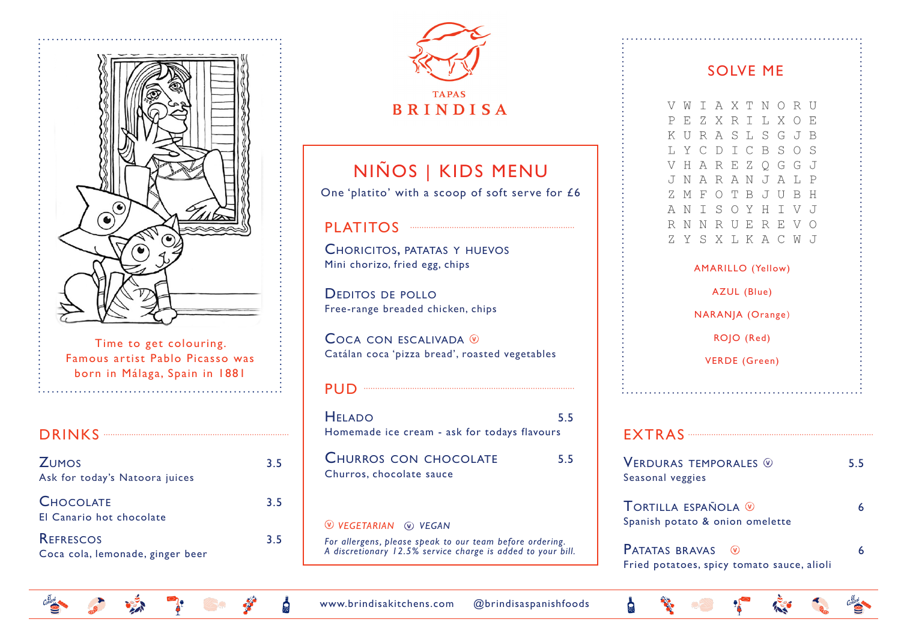

Time to get colouring. Famous artist Pablo Picasso was born in Málaga, Spain in 1881

#### DRINKS ················································································

| <b>ZUMOS</b><br>Ask for today's Natoora juices       | 3.5 |
|------------------------------------------------------|-----|
| <b>CHOCOLATE</b><br>El Canario hot chocolate         | 3.5 |
| <b>REFRESCOS</b><br>Coca cola, lemonade, ginger beer | 3.5 |



## NIÑOS | KIDS MENU

One 'platito' with a scoop of soft serve for £6

### PLATITOS ·······································································

Choricitos, patatas y huevos Mini chorizo, fried egg, chips

Deditos de pollo Free-range breaded chicken, chips

 $C$ OCA CON ESCALIVADA  $\overline{v}$ Catálan coca 'pizza bread', roasted vegetables

#### PUD ···························································································

HELADO 5.5 Homemade ice cream - ask for todays flavours CHURROS CON CHOCOLATE 5.5 Churros, chocolate sauce *vegetarian vegan For allergens, please speak to our team before ordering. A discretionary 12.5% service charge is added to your bill.*

### SOLVE ME

**VWIAXTNORU** PEZXRTLXOE KURASL SGJB LYCDICBSOS VHAREZOGGJ JNARANJALP ZMFOTBJUBH ANISOYHIVJ R N N R U E R E V O ZYSXLKACWJ

### AMARILLO (Yellow) AZUL (Blue) NARANJA (Orange) ROJO (Red)

VERDE (Green)

#### EXTRAS ················································································

**VERDURAS TEMPORALES**  $\circledcirc$  5.5 Seasonal veggies

Tortilla española 6 Spanish potato & onion omelette

PATATAS BRAVAS (V) 6 Fried potatoes, spicy tomato sauce, alioli